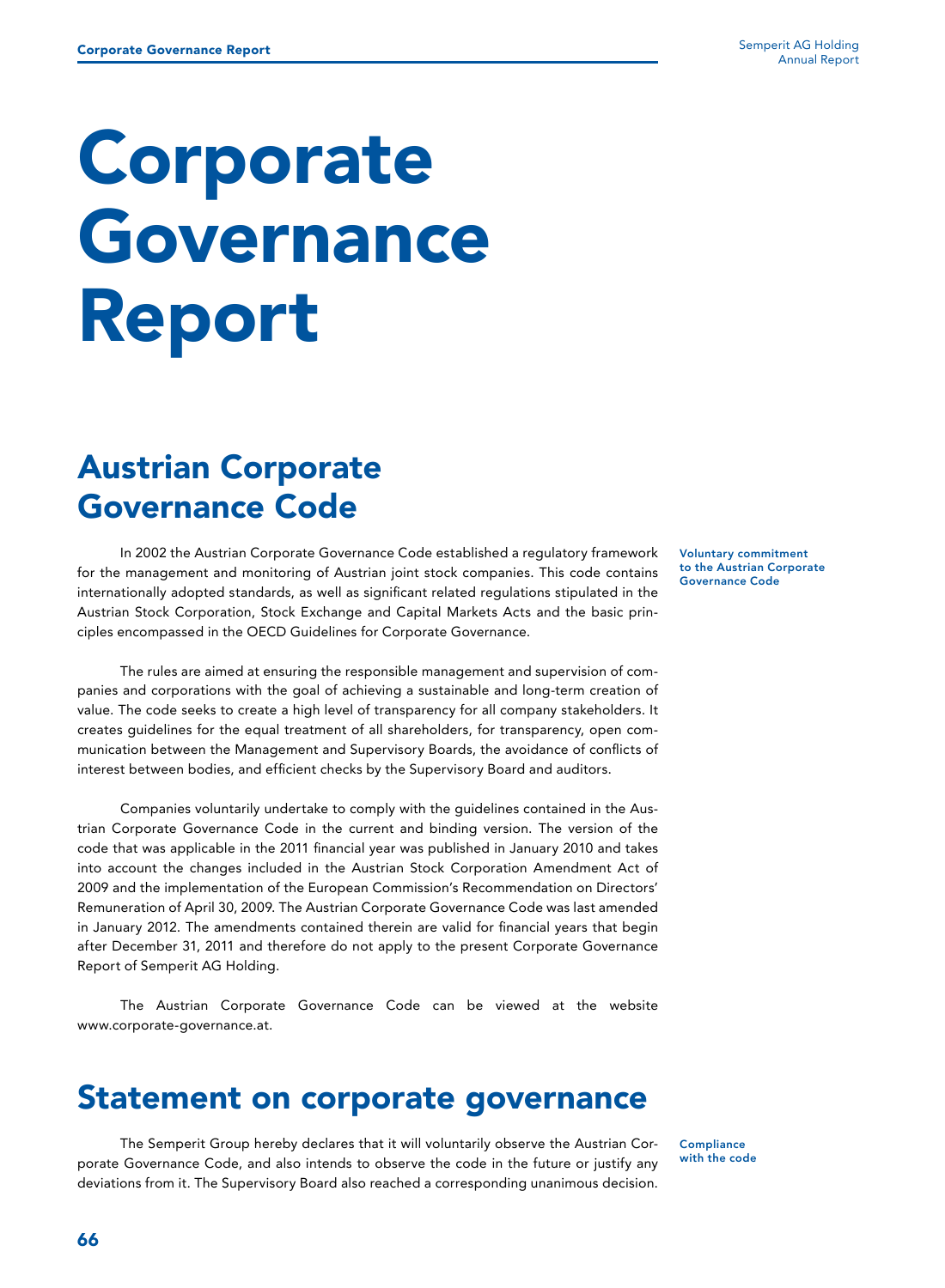# Corporate Governance Report

# Austrian Corporate Governance Code

In 2002 the Austrian Corporate Governance Code established a regulatory framework for the management and monitoring of Austrian joint stock companies. This code contains internationally adopted standards, as well as significant related regulations stipulated in the Austrian Stock Corporation, Stock Exchange and Capital Markets Acts and the basic principles encompassed in the OECD Guidelines for Corporate Governance.

The rules are aimed at ensuring the responsible management and supervision of companies and corporations with the goal of achieving a sustainable and long-term creation of value. The code seeks to create a high level of transparency for all company stakeholders. It creates guidelines for the equal treatment of all shareholders, for transparency, open communication between the Management and Supervisory Boards, the avoidance of conflicts of interest between bodies, and efficient checks by the Supervisory Board and auditors.

Companies voluntarily undertake to comply with the guidelines contained in the Austrian Corporate Governance Code in the current and binding version. The version of the code that was applicable in the 2011 financial year was published in January 2010 and takes into account the changes included in the Austrian Stock Corporation Amendment Act of 2009 and the implementation of the European Commission's Recommendation on Directors' Remuneration of April 30, 2009. The Austrian Corporate Governance Code was last amended in January 2012. The amendments contained therein are valid for financial years that begin after December 31, 2011 and therefore do not apply to the present Corporate Governance Report of Semperit AG Holding.

The Austrian Corporate Governance Code can be viewed at the website www.corporate-governance.at.

### Statement on corporate governance

The Semperit Group hereby declares that it will voluntarily observe the Austrian Corporate Governance Code, and also intends to observe the code in the future or justify any deviations from it. The Supervisory Board also reached a corresponding unanimous decision.

Voluntary commitment to the Austrian Corporate Governance Code

**Compliance** with the code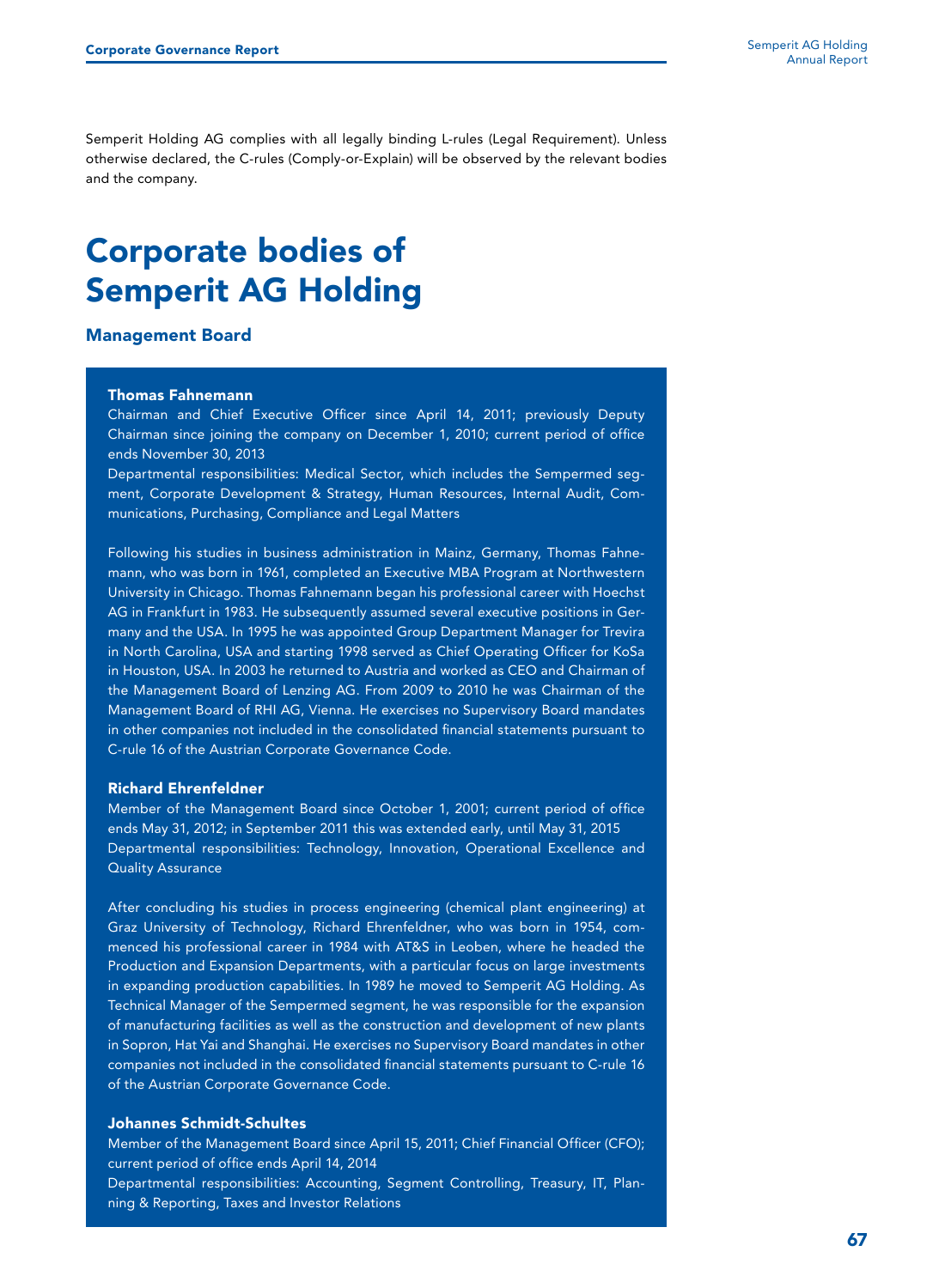Semperit Holding AG complies with all legally binding L-rules (Legal Requirement). Unless otherwise declared, the C-rules (Comply-or-Explain) will be observed by the relevant bodies and the company.

### Corporate bodies of Semperit AG Holding

#### Management Board

#### Thomas Fahnemann

Chairman and Chief Executive Officer since April 14, 2011; previously Deputy Chairman since joining the company on December 1, 2010; current period of office ends November 30, 2013

Departmental responsibilities: Medical Sector, which includes the Sempermed segment, Corporate Development & Strategy, Human Resources, Internal Audit, Communications, Purchasing, Compliance and Legal Matters

Following his studies in business administration in Mainz, Germany, Thomas Fahnemann, who was born in 1961, completed an Executive MBA Program at Northwestern University in Chicago. Thomas Fahnemann began his professional career with Hoechst AG in Frankfurt in 1983. He subsequently assumed several executive positions in Germany and the USA. In 1995 he was appointed Group Department Manager for Trevira in North Carolina, USA and starting 1998 served as Chief Operating Officer for KoSa in Houston, USA. In 2003 he returned to Austria and worked as CEO and Chairman of the Management Board of Lenzing AG. From 2009 to 2010 he was Chairman of the Management Board of RHI AG, Vienna. He exercises no Supervisory Board mandates in other companies not included in the consolidated financial statements pursuant to C-rule 16 of the Austrian Corporate Governance Code.

#### Richard Ehrenfeldner

Member of the Management Board since October 1, 2001; current period of office ends May 31, 2012; in September 2011 this was extended early, until May 31, 2015 Departmental responsibilities: Technology, Innovation, Operational Excellence and Quality Assurance

After concluding his studies in process engineering (chemical plant engineering) at Graz University of Technology, Richard Ehrenfeldner, who was born in 1954, commenced his professional career in 1984 with AT&S in Leoben, where he headed the Production and Expansion Departments, with a particular focus on large investments in expanding production capabilities. In 1989 he moved to Semperit AG Holding. As Technical Manager of the Sempermed segment, he was responsible for the expansion of manufacturing facilities as well as the construction and development of new plants in Sopron, Hat Yai and Shanghai. He exercises no Supervisory Board mandates in other companies not included in the consolidated financial statements pursuant to C-rule 16 of the Austrian Corporate Governance Code.

#### Johannes Schmidt-Schultes

Member of the Management Board since April 15, 2011; Chief Financial Officer (CFO); current period of office ends April 14, 2014

Departmental responsibilities: Accounting, Segment Controlling, Treasury, IT, Planning & Reporting, Taxes and Investor Relations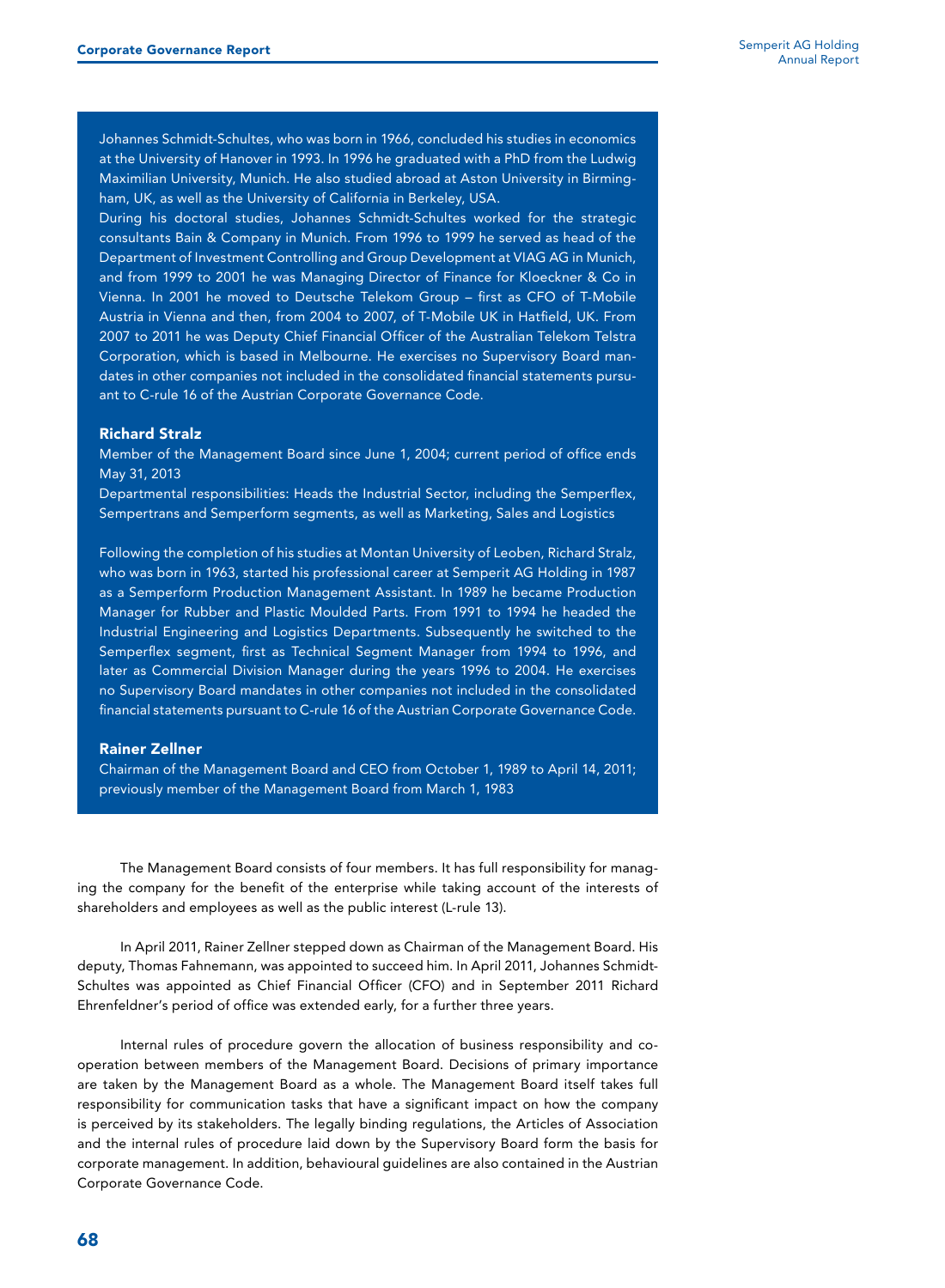Johannes Schmidt-Schultes, who was born in 1966, concluded his studies in economics at the University of Hanover in 1993. In 1996 he graduated with a PhD from the Ludwig Maximilian University, Munich. He also studied abroad at Aston University in Birmingham, UK, as well as the University of California in Berkeley, USA.

During his doctoral studies, Johannes Schmidt-Schultes worked for the strategic consultants Bain & Company in Munich. From 1996 to 1999 he served as head of the Department of Investment Controlling and Group Development at VIAG AG in Munich, and from 1999 to 2001 he was Managing Director of Finance for Kloeckner & Co in Vienna. In 2001 he moved to Deutsche Telekom Group – first as CFO of T-Mobile Austria in Vienna and then, from 2004 to 2007, of T-Mobile UK in Hatfield, UK. From 2007 to 2011 he was Deputy Chief Financial Officer of the Australian Telekom Telstra Corporation, which is based in Melbourne. He exercises no Supervisory Board mandates in other companies not included in the consolidated financial statements pursuant to C-rule 16 of the Austrian Corporate Governance Code.

#### Richard Stralz

Member of the Management Board since June 1, 2004; current period of office ends May 31, 2013

Departmental responsibilities: Heads the Industrial Sector, including the Semperflex, Sempertrans and Semperform segments, as well as Marketing, Sales and Logistics

Following the completion of his studies at Montan University of Leoben, Richard Stralz, who was born in 1963, started his professional career at Semperit AG Holding in 1987 as a Semperform Production Management Assistant. In 1989 he became Production Manager for Rubber and Plastic Moulded Parts. From 1991 to 1994 he headed the Industrial Engineering and Logistics Departments. Subsequently he switched to the Semperflex segment, first as Technical Segment Manager from 1994 to 1996, and later as Commercial Division Manager during the years 1996 to 2004. He exercises no Supervisory Board mandates in other companies not included in the consolidated financial statements pursuant to C-rule 16 of the Austrian Corporate Governance Code.

#### Rainer Zellner

Chairman of the Management Board and CEO from October 1, 1989 to April 14, 2011; previously member of the Management Board from March 1, 1983

The Management Board consists of four members. It has full responsibility for managing the company for the benefit of the enterprise while taking account of the interests of shareholders and employees as well as the public interest (L-rule 13).

In April 2011, Rainer Zellner stepped down as Chairman of the Management Board. His deputy, Thomas Fahnemann, was appointed to succeed him. In April 2011, Johannes Schmidt-Schultes was appointed as Chief Financial Officer (CFO) and in September 2011 Richard Ehrenfeldner's period of office was extended early, for a further three years.

Internal rules of procedure govern the allocation of business responsibility and cooperation between members of the Management Board. Decisions of primary importance are taken by the Management Board as a whole. The Management Board itself takes full responsibility for communication tasks that have a significant impact on how the company is perceived by its stakeholders. The legally binding regulations, the Articles of Association and the internal rules of procedure laid down by the Supervisory Board form the basis for corporate management. In addition, behavioural guidelines are also contained in the Austrian Corporate Governance Code.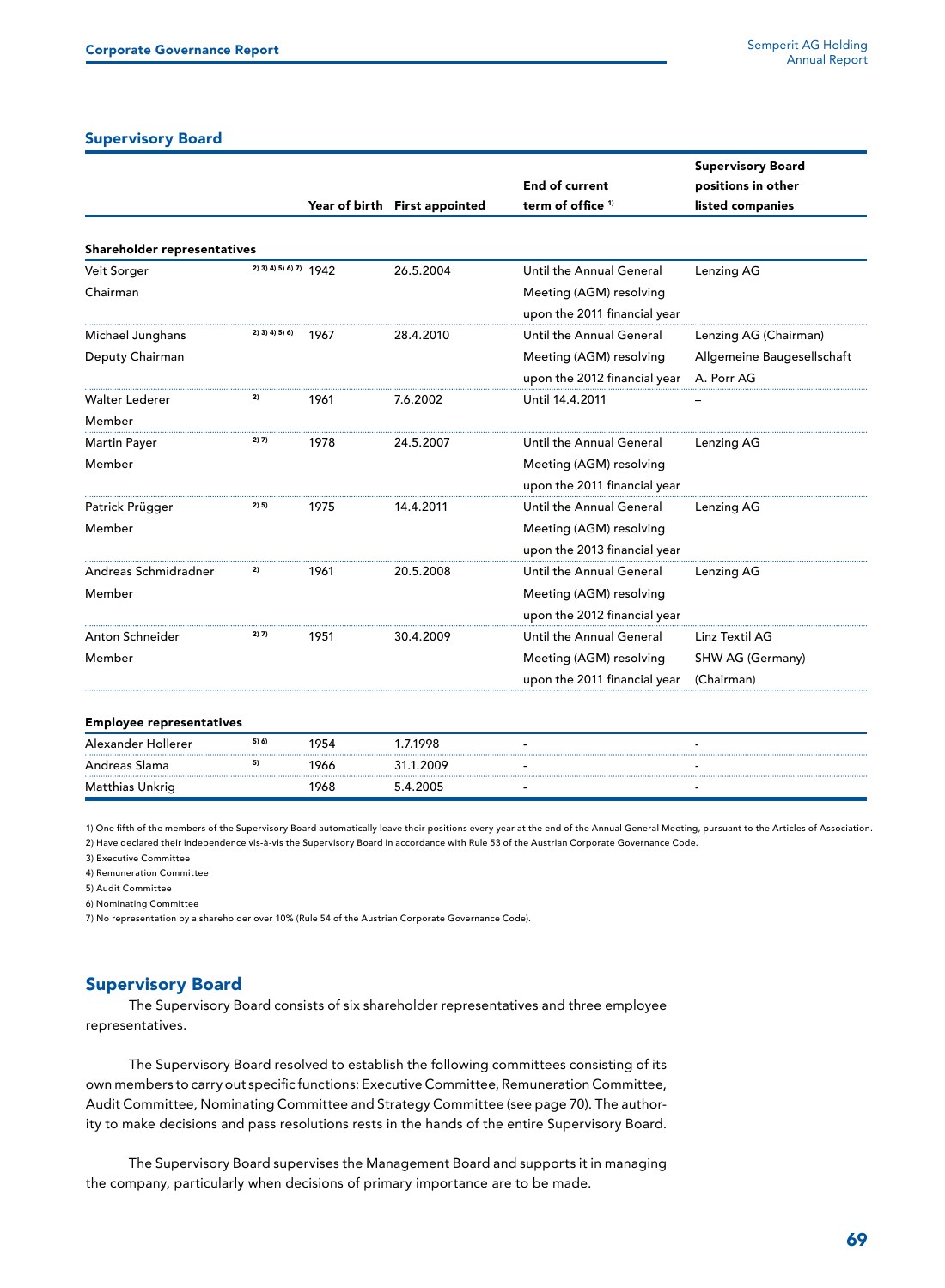#### Supervisory Board

|                             |                        |      |                               |                              | <b>Supervisory Board</b>   |  |
|-----------------------------|------------------------|------|-------------------------------|------------------------------|----------------------------|--|
|                             |                        |      |                               | <b>End of current</b>        | positions in other         |  |
|                             |                        |      | Year of birth First appointed | term of office <sup>1)</sup> | listed companies           |  |
| Shareholder representatives |                        |      |                               |                              |                            |  |
| Veit Sorger                 | 2) 3) 4) 5) 6) 7) 1942 |      | 26.5.2004                     | Until the Annual General     | Lenzing AG                 |  |
| Chairman                    |                        |      |                               | Meeting (AGM) resolving      |                            |  |
|                             |                        |      |                               | upon the 2011 financial year |                            |  |
| Michael Junghans            | 2) 3) 4) 5) 6)         | 1967 | 28.4.2010                     | Until the Annual General     | Lenzing AG (Chairman)      |  |
| Deputy Chairman             |                        |      |                               | Meeting (AGM) resolving      | Allgemeine Baugesellschaft |  |
|                             |                        |      |                               | upon the 2012 financial year | A. Porr AG                 |  |
| Walter Lederer              | 2)                     | 1961 | 7.6.2002                      | Until 14.4.2011              |                            |  |
| Member                      |                        |      |                               |                              |                            |  |
| <b>Martin Payer</b>         | 2) 7)                  | 1978 | 24.5.2007                     | Until the Annual General     | Lenzing AG                 |  |
| Member                      |                        |      |                               | Meeting (AGM) resolving      |                            |  |
|                             |                        |      |                               | upon the 2011 financial year |                            |  |
| Patrick Prügger             | 2) 5)                  | 1975 | 14.4.2011                     | Until the Annual General     | Lenzing AG                 |  |
| Member                      |                        |      |                               | Meeting (AGM) resolving      |                            |  |
|                             |                        |      |                               | upon the 2013 financial year |                            |  |
| Andreas Schmidradner        | 2)                     | 1961 | 20.5.2008                     | Until the Annual General     | Lenzing AG                 |  |
| Member                      |                        |      |                               | Meeting (AGM) resolving      |                            |  |
|                             |                        |      |                               | upon the 2012 financial year |                            |  |
| Anton Schneider             | 2) 7)                  | 1951 | 30.4.2009                     | Until the Annual General     | Linz Textil AG             |  |
| Member                      |                        |      |                               | Meeting (AGM) resolving      | SHW AG (Germany)           |  |
|                             |                        |      |                               | upon the 2011 financial year | (Chairman)                 |  |

#### Employee representatives

| Alexander Hollerer | 5) 6) | 1954 | .7.1998   |  |
|--------------------|-------|------|-----------|--|
| Andreas Slama      |       | 1966 | 31.1.2009 |  |
| Matthias Unkrig    |       | 1968 | 5.4.2005  |  |

1) One fifth of the members of the Supervisory Board automatically leave their positions every year at the end of the Annual General Meeting, pursuant to the Articles of Association.

2) Have declared their independence vis-à-vis the Supervisory Board in accordance with Rule 53 of the Austrian Corporate Governance Code.

3) Executive Committee

4) Remuneration Committee

5) Audit Committee

6) Nominating Committee

7) No representation by a shareholder over 10% (Rule 54 of the Austrian Corporate Governance Code).

### Supervisory Board

The Supervisory Board consists of six shareholder representatives and three employee representatives.

The Supervisory Board resolved to establish the following committees consisting of its own members to carry out specific functions: Executive Committee, Remuneration Committee, Audit Committee, Nominating Committee and Strategy Committee (see page 70). The authority to make decisions and pass resolutions rests in the hands of the entire Supervisory Board.

The Supervisory Board supervises the Management Board and supports it in managing the company, particularly when decisions of primary importance are to be made.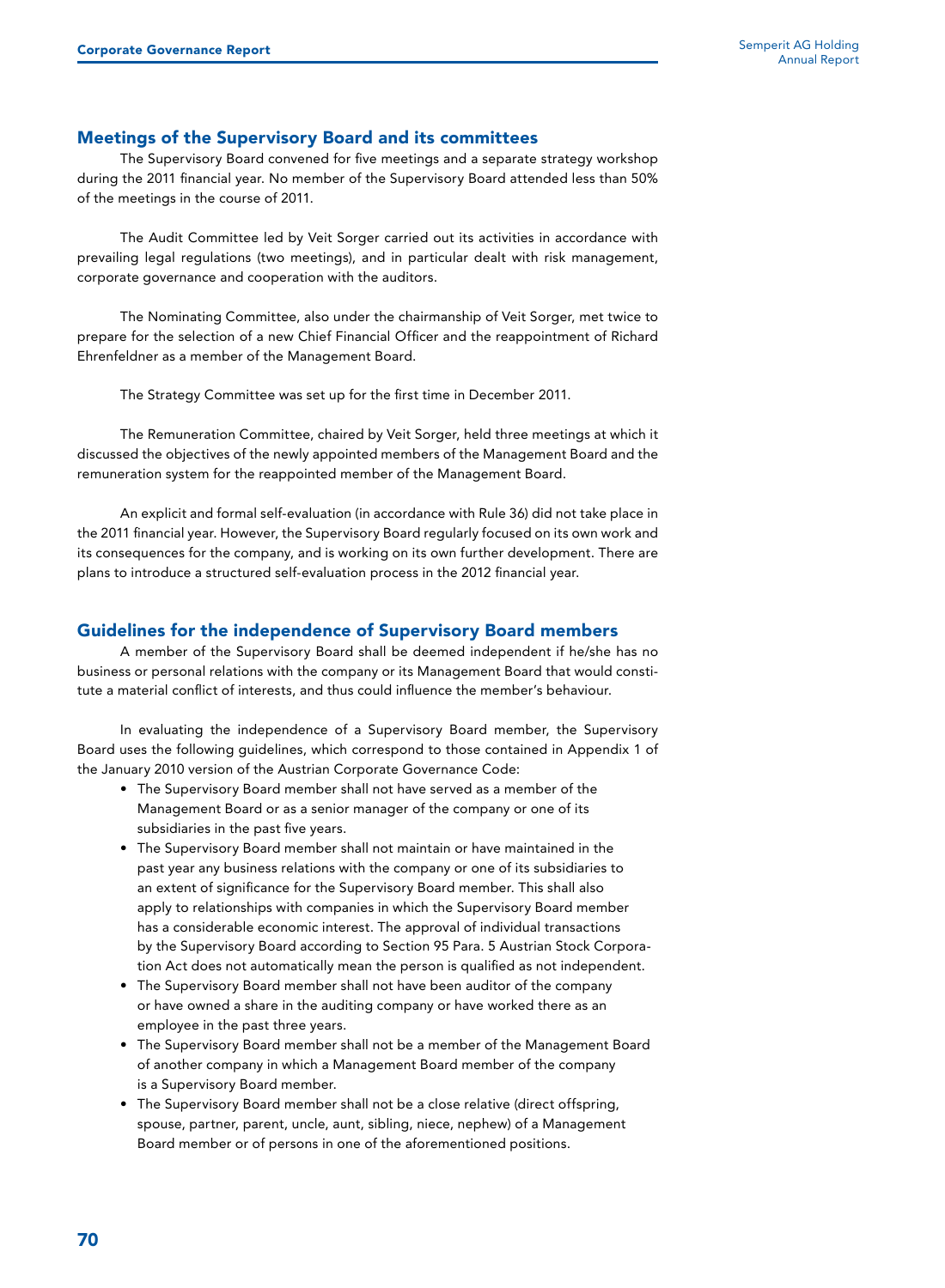#### Meetings of the Supervisory Board and its committees

The Supervisory Board convened for five meetings and a separate strategy workshop during the 2011 financial year. No member of the Supervisory Board attended less than 50% of the meetings in the course of 2011.

The Audit Committee led by Veit Sorger carried out its activities in accordance with prevailing legal regulations (two meetings), and in particular dealt with risk management, corporate governance and cooperation with the auditors.

The Nominating Committee, also under the chairmanship of Veit Sorger, met twice to prepare for the selection of a new Chief Financial Officer and the reappointment of Richard Ehrenfeldner as a member of the Management Board.

The Strategy Committee was set up for the first time in December 2011.

The Remuneration Committee, chaired by Veit Sorger, held three meetings at which it discussed the objectives of the newly appointed members of the Management Board and the remuneration system for the reappointed member of the Management Board.

An explicit and formal self-evaluation (in accordance with Rule 36) did not take place in the 2011 financial year. However, the Supervisory Board regularly focused on its own work and its consequences for the company, and is working on its own further development. There are plans to introduce a structured self-evaluation process in the 2012 financial year.

#### Guidelines for the independence of Supervisory Board members

A member of the Supervisory Board shall be deemed independent if he/she has no business or personal relations with the company or its Management Board that would constitute a material conflict of interests, and thus could influence the member's behaviour.

In evaluating the independence of a Supervisory Board member, the Supervisory Board uses the following guidelines, which correspond to those contained in Appendix 1 of the January 2010 version of the Austrian Corporate Governance Code:

- The Supervisory Board member shall not have served as a member of the Management Board or as a senior manager of the company or one of its subsidiaries in the past five years.
- The Supervisory Board member shall not maintain or have maintained in the past year any business relations with the company or one of its subsidiaries to an extent of significance for the Supervisory Board member. This shall also apply to relationships with companies in which the Supervisory Board member has a considerable economic interest. The approval of individual transactions by the Supervisory Board according to Section 95 Para. 5 Austrian Stock Corporation Act does not automatically mean the person is qualified as not independent.
- The Supervisory Board member shall not have been auditor of the company or have owned a share in the auditing company or have worked there as an employee in the past three years.
- The Supervisory Board member shall not be a member of the Management Board of another company in which a Management Board member of the company is a Supervisory Board member.
- The Supervisory Board member shall not be a close relative (direct offspring, spouse, partner, parent, uncle, aunt, sibling, niece, nephew) of a Management Board member or of persons in one of the aforementioned positions.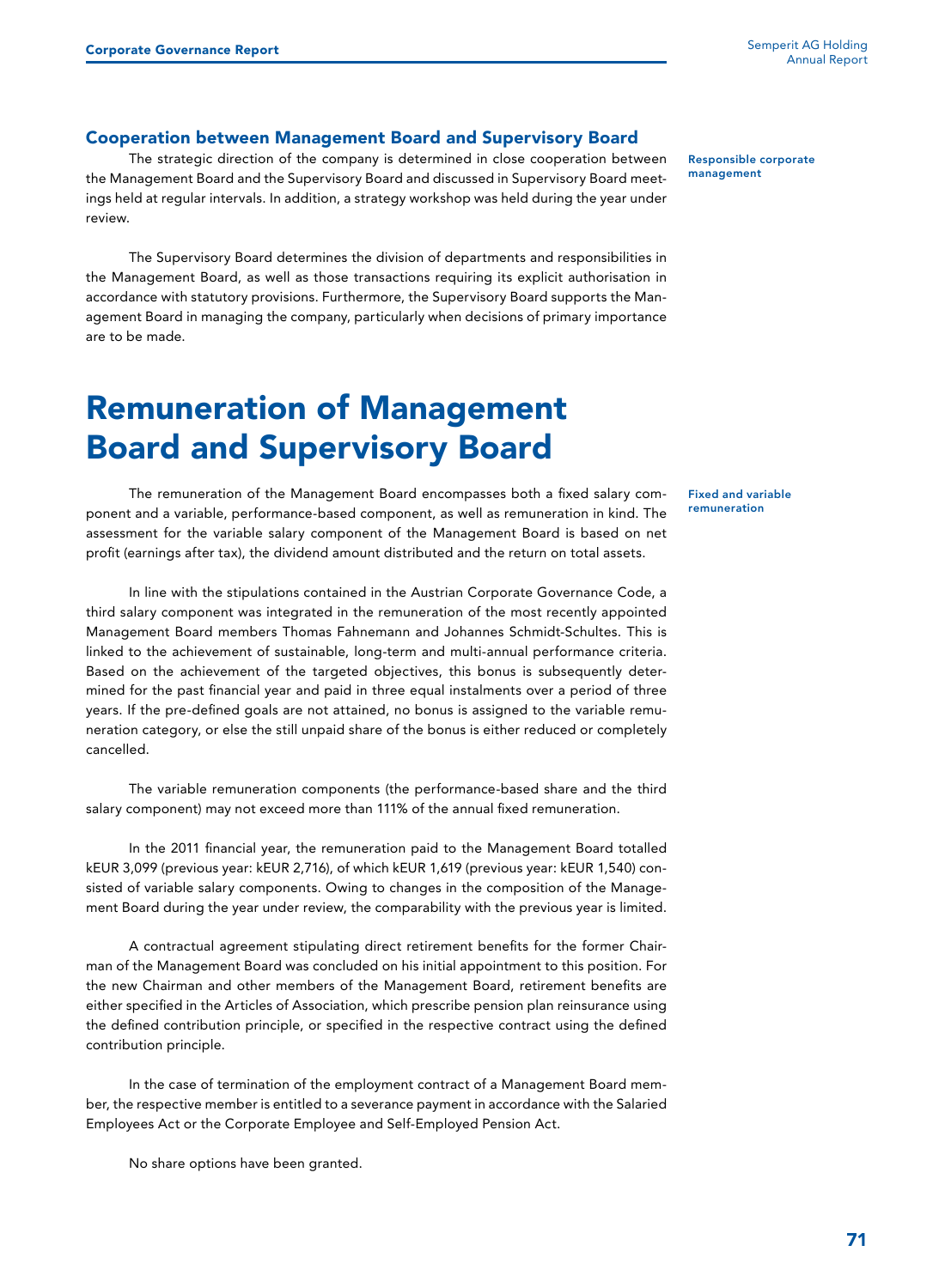#### Cooperation between Management Board and Supervisory Board

The strategic direction of the company is determined in close cooperation between the Management Board and the Supervisory Board and discussed in Supervisory Board meetings held at regular intervals. In addition, a strategy workshop was held during the year under review.

The Supervisory Board determines the division of departments and responsibilities in the Management Board, as well as those transactions requiring its explicit authorisation in accordance with statutory provisions. Furthermore, the Supervisory Board supports the Management Board in managing the company, particularly when decisions of primary importance are to be made.

### Remuneration of Management Board and Supervisory Board

The remuneration of the Management Board encompasses both a fixed salary component and a variable, performance-based component, as well as remuneration in kind. The assessment for the variable salary component of the Management Board is based on net profit (earnings after tax), the dividend amount distributed and the return on total assets.

In line with the stipulations contained in the Austrian Corporate Governance Code, a third salary component was integrated in the remuneration of the most recently appointed Management Board members Thomas Fahnemann and Johannes Schmidt-Schultes. This is linked to the achievement of sustainable, long-term and multi-annual performance criteria. Based on the achievement of the targeted objectives, this bonus is subsequently determined for the past financial year and paid in three equal instalments over a period of three years. If the pre-defined goals are not attained, no bonus is assigned to the variable remuneration category, or else the still unpaid share of the bonus is either reduced or completely cancelled.

The variable remuneration components (the performance-based share and the third salary component) may not exceed more than 111% of the annual fixed remuneration.

In the 2011 financial year, the remuneration paid to the Management Board totalled kEUR 3,099 (previous year: kEUR 2,716), of which kEUR 1,619 (previous year: kEUR 1,540) consisted of variable salary components. Owing to changes in the composition of the Management Board during the year under review, the comparability with the previous year is limited.

A contractual agreement stipulating direct retirement benefits for the former Chairman of the Management Board was concluded on his initial appointment to this position. For the new Chairman and other members of the Management Board, retirement benefits are either specified in the Articles of Association, which prescribe pension plan reinsurance using the defined contribution principle, or specified in the respective contract using the defined contribution principle.

In the case of termination of the employment contract of a Management Board member, the respective member is entitled to a severance payment in accordance with the Salaried Employees Act or the Corporate Employee and Self-Employed Pension Act.

No share options have been granted.

Responsible corporate management

Fixed and variable remuneration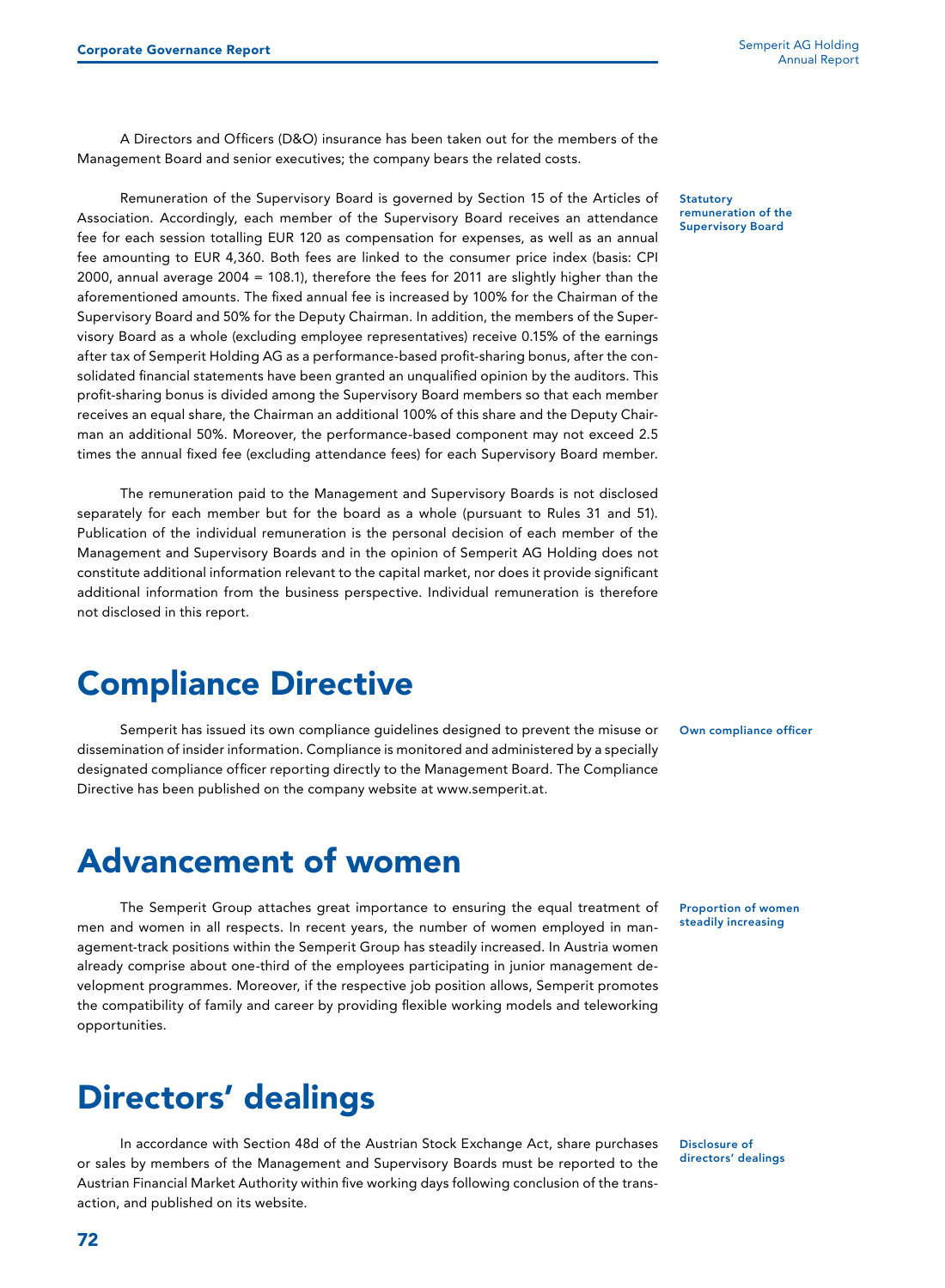A Directors and Officers (D&O) insurance has been taken out for the members of the Management Board and senior executives; the company bears the related costs.

Remuneration of the Supervisory Board is governed by Section 15 of the Articles of Association. Accordingly, each member of the Supervisory Board receives an attendance fee for each session totalling EUR 120 as compensation for expenses, as well as an annual fee amounting to EUR 4,360. Both fees are linked to the consumer price index (basis: CPI 2000, annual average 2004 = 108.1), therefore the fees for 2011 are slightly higher than the aforementioned amounts. The fixed annual fee is increased by 100% for the Chairman of the Supervisory Board and 50% for the Deputy Chairman. In addition, the members of the Supervisory Board as a whole (excluding employee representatives) receive 0.15% of the earnings after tax of Semperit Holding AG as a performance-based profit-sharing bonus, after the consolidated financial statements have been granted an unqualified opinion by the auditors. This profit-sharing bonus is divided among the Supervisory Board members so that each member receives an equal share, the Chairman an additional 100% of this share and the Deputy Chairman an additional 50%. Moreover, the performance-based component may not exceed 2.5 times the annual fixed fee (excluding attendance fees) for each Supervisory Board member.

The remuneration paid to the Management and Supervisory Boards is not disclosed separately for each member but for the board as a whole (pursuant to Rules 31 and 51). Publication of the individual remuneration is the personal decision of each member of the Management and Supervisory Boards and in the opinion of Semperit AG Holding does not constitute additional information relevant to the capital market, nor does it provide significant additional information from the business perspective. Individual remuneration is therefore not disclosed in this report.

### Compliance Directive

Semperit has issued its own compliance guidelines designed to prevent the misuse or dissemination of insider information. Compliance is monitored and administered by a specially designated compliance officer reporting directly to the Management Board. The Compliance Directive has been published on the company website at www.semperit.at.

**Statutory** remuneration of the Supervisory Board

Own compliance officer

Proportion of women steadily increasing

Advancement of women

The Semperit Group attaches great importance to ensuring the equal treatment of men and women in all respects. In recent years, the number of women employed in management-track positions within the Semperit Group has steadily increased. In Austria women already comprise about one-third of the employees participating in junior management development programmes. Moreover, if the respective job position allows, Semperit promotes the compatibility of family and career by providing flexible working models and teleworking opportunities.

### Directors' dealings

In accordance with Section 48d of the Austrian Stock Exchange Act, share purchases or sales by members of the Management and Supervisory Boards must be reported to the Austrian Financial Market Authority within five working days following conclusion of the transaction, and published on its website.

Disclosure of directors' dealings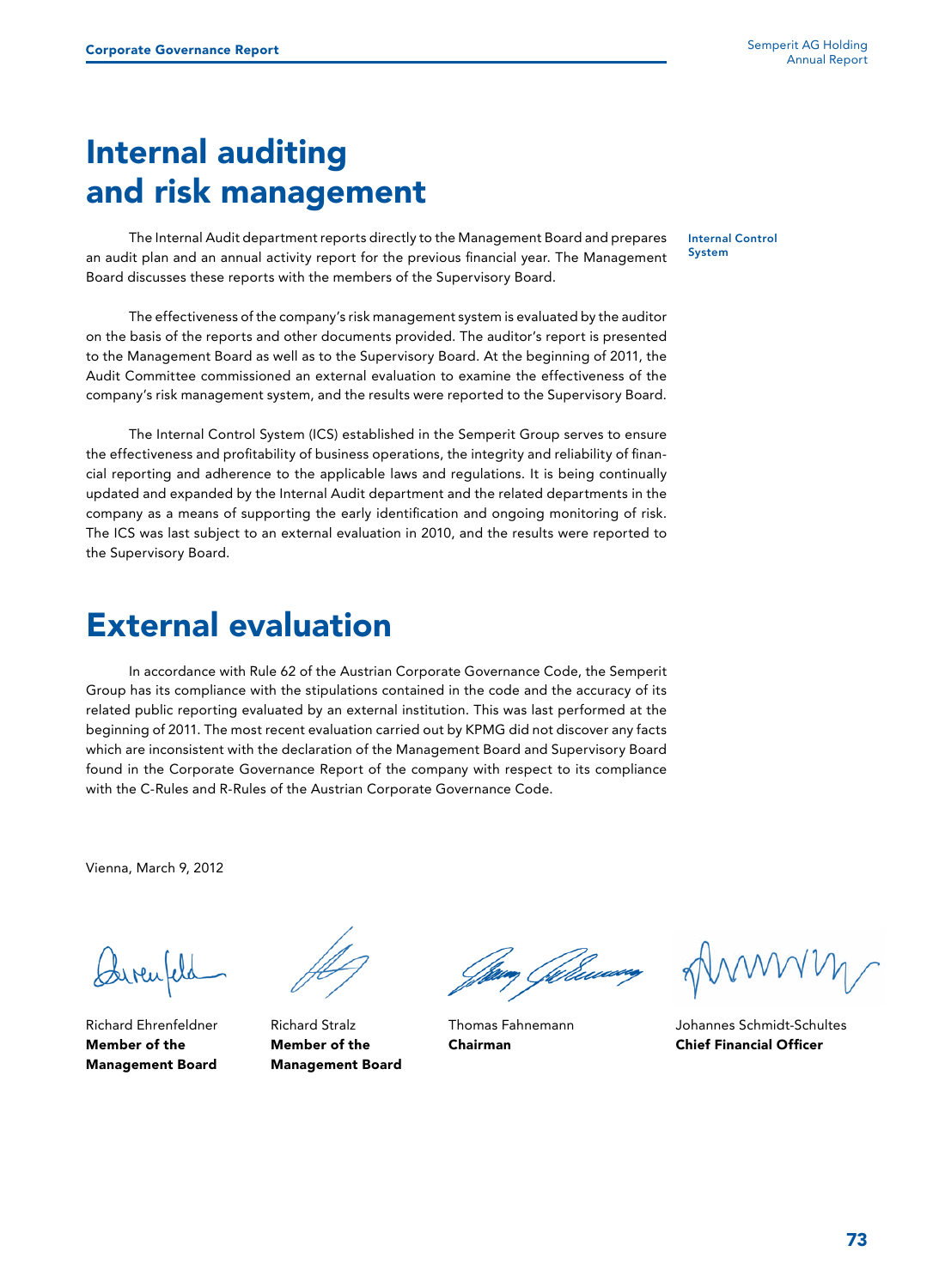# Internal auditing and risk management

The Internal Audit department reports directly to the Management Board and prepares an audit plan and an annual activity report for the previous financial year. The Management Board discusses these reports with the members of the Supervisory Board.

The effectiveness of the company's risk management system is evaluated by the auditor on the basis of the reports and other documents provided. The auditor's report is presented to the Management Board as well as to the Supervisory Board. At the beginning of 2011, the Audit Committee commissioned an external evaluation to examine the effectiveness of the company's risk management system, and the results were reported to the Supervisory Board.

The Internal Control System (ICS) established in the Semperit Group serves to ensure the effectiveness and profitability of business operations, the integrity and reliability of financial reporting and adherence to the applicable laws and regulations. It is being continually updated and expanded by the Internal Audit department and the related departments in the company as a means of supporting the early identification and ongoing monitoring of risk. The ICS was last subject to an external evaluation in 2010, and the results were reported to the Supervisory Board.

### External evaluation

In accordance with Rule 62 of the Austrian Corporate Governance Code, the Semperit Group has its compliance with the stipulations contained in the code and the accuracy of its related public reporting evaluated by an external institution. This was last performed at the beginning of 2011. The most recent evaluation carried out by KPMG did not discover any facts which are inconsistent with the declaration of the Management Board and Supervisory Board found in the Corporate Governance Report of the company with respect to its compliance with the C-Rules and R-Rules of the Austrian Corporate Governance Code.

Vienna, March 9, 2012

Garcite

Richard Ehrenfeldner Member of the Management Board



Richard Stralz Member of the Management Board

.<br>**m**y Gilliau

Thomas Fahnemann Chairman

Johannes Schmidt-Schultes Chief Financial Officer

Internal Control System